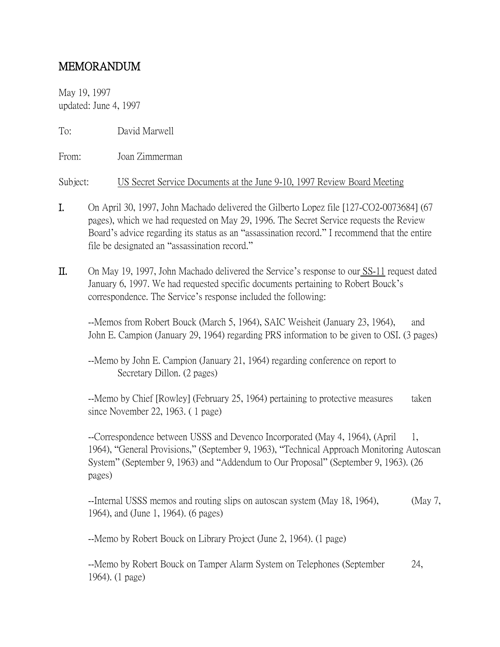## MEMORANDUM

May 19, 1997 updated: June 4, 1997

To: David Marwell

From: Joan Zimmerman

Subject: US Secret Service Documents at the June 9-10, 1997 Review Board Meeting

- I. On April 30, 1997, John Machado delivered the Gilberto Lopez file [127-CO2-0073684] (67 pages), which we had requested on May 29, 1996. The Secret Service requests the Review Board's advice regarding its status as an "assassination record." I recommend that the entire file be designated an "assassination record."
- II. On May 19, 1997, John Machado delivered the Service's response to our SS-11 request dated January 6, 1997. We had requested specific documents pertaining to Robert Bouck's correspondence. The Service's response included the following:

--Memos from Robert Bouck (March 5, 1964), SAIC Weisheit (January 23, 1964), and John E. Campion (January 29, 1964) regarding PRS information to be given to OSI. (3 pages)

--Memo by John E. Campion (January 21, 1964) regarding conference on report to Secretary Dillon. (2 pages)

--Memo by Chief [Rowley] (February 25, 1964) pertaining to protective measures taken since November 22, 1963. ( 1 page)

--Correspondence between USSS and Devenco Incorporated (May 4, 1964), (April 1, 1964), "General Provisions," (September 9, 1963), "Technical Approach Monitoring Autoscan System" (September 9, 1963) and "Addendum to Our Proposal" (September 9, 1963). (26 pages)

--Internal USSS memos and routing slips on autoscan system (May 18, 1964), (May 7, 1964), and (June 1, 1964). (6 pages)

--Memo by Robert Bouck on Library Project (June 2, 1964). (1 page)

--Memo by Robert Bouck on Tamper Alarm System on Telephones (September 24, 1964). (1 page)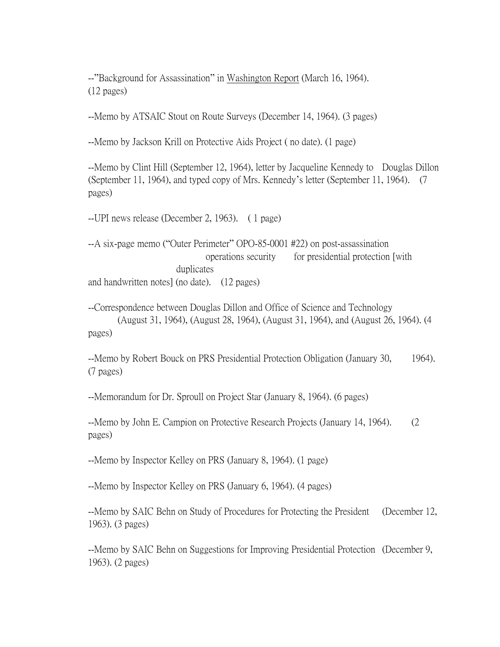--"Background for Assassination" in Washington Report (March 16, 1964). (12 pages)

--Memo by ATSAIC Stout on Route Surveys (December 14, 1964). (3 pages)

--Memo by Jackson Krill on Protective Aids Project ( no date). (1 page)

--Memo by Clint Hill (September 12, 1964), letter by Jacqueline Kennedy to Douglas Dillon (September 11, 1964), and typed copy of Mrs. Kennedy's letter (September 11, 1964). (7 pages)

--UPI news release (December 2, 1963). ( 1 page)

--A six-page memo ("Outer Perimeter" OPO-85-0001 #22) on post-assassination operations security for presidential protection [with duplicates and handwritten notes] (no date). (12 pages)

--Correspondence between Douglas Dillon and Office of Science and Technology (August 31, 1964), (August 28, 1964), (August 31, 1964), and (August 26, 1964). (4 pages)

--Memo by Robert Bouck on PRS Presidential Protection Obligation (January 30, 1964). (7 pages)

--Memorandum for Dr. Sproull on Project Star (January 8, 1964). (6 pages)

--Memo by John E. Campion on Protective Research Projects (January 14, 1964). (2 pages)

--Memo by Inspector Kelley on PRS (January 8, 1964). (1 page)

--Memo by Inspector Kelley on PRS (January 6, 1964). (4 pages)

--Memo by SAIC Behn on Study of Procedures for Protecting the President (December 12, 1963). (3 pages)

--Memo by SAIC Behn on Suggestions for Improving Presidential Protection (December 9, 1963). (2 pages)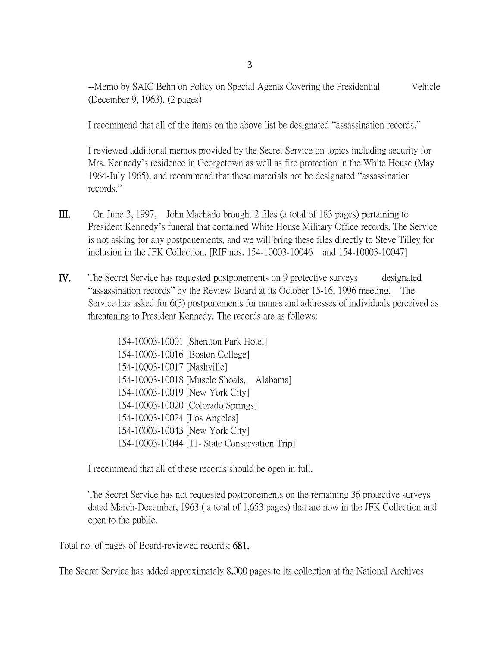3

--Memo by SAIC Behn on Policy on Special Agents Covering the Presidential Vehicle (December 9, 1963). (2 pages)

I recommend that all of the items on the above list be designated "assassination records."

I reviewed additional memos provided by the Secret Service on topics including security for Mrs. Kennedy's residence in Georgetown as well as fire protection in the White House (May 1964-July 1965), and recommend that these materials not be designated "assassination records."

- III. On June 3, 1997, John Machado brought 2 files (a total of 183 pages) pertaining to President Kennedy's funeral that contained White House Military Office records. The Service is not asking for any postponements, and we will bring these files directly to Steve Tilley for inclusion in the JFK Collection. [RIF nos. 154-10003-10046 and 154-10003-10047]
- IV. The Secret Service has requested postponements on 9 protective surveys designated "assassination records" by the Review Board at its October 15-16, 1996 meeting. The Service has asked for 6(3) postponements for names and addresses of individuals perceived as threatening to President Kennedy. The records are as follows:

154-10003-10001 [Sheraton Park Hotel] 154-10003-10016 [Boston College] 154-10003-10017 [Nashville] 154-10003-10018 [Muscle Shoals, Alabama] 154-10003-10019 [New York City] 154-10003-10020 [Colorado Springs] 154-10003-10024 [Los Angeles] 154-10003-10043 [New York City] 154-10003-10044 [11- State Conservation Trip]

I recommend that all of these records should be open in full.

The Secret Service has not requested postponements on the remaining 36 protective surveys dated March-December, 1963 ( a total of 1,653 pages) that are now in the JFK Collection and open to the public.

Total no. of pages of Board-reviewed records: 681.

The Secret Service has added approximately 8,000 pages to its collection at the National Archives